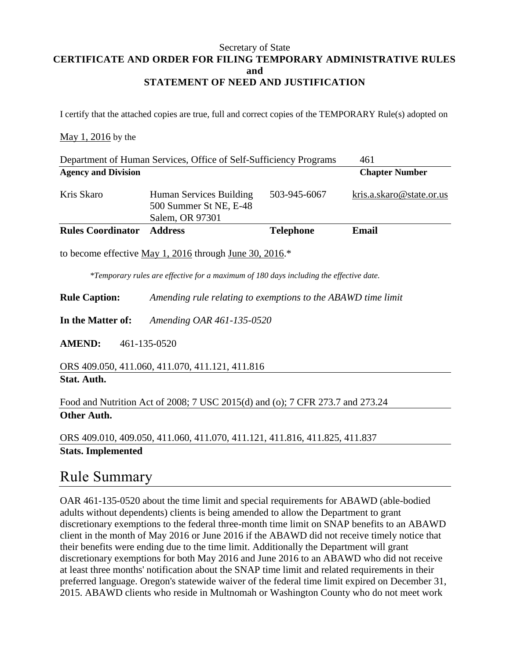#### Secretary of State **CERTIFICATE AND ORDER FOR FILING TEMPORARY ADMINISTRATIVE RULES and STATEMENT OF NEED AND JUSTIFICATION**

I certify that the attached copies are true, full and correct copies of the TEMPORARY Rule(s) adopted on

#### May 1, 2016 by the

| Department of Human Services, Office of Self-Sufficiency Programs                      |                                                                      |                  | 461                      |
|----------------------------------------------------------------------------------------|----------------------------------------------------------------------|------------------|--------------------------|
| <b>Agency and Division</b>                                                             |                                                                      |                  | <b>Chapter Number</b>    |
| Kris Skaro                                                                             | Human Services Building<br>500 Summer St NE, E-48<br>Salem, OR 97301 | 503-945-6067     | kris.a.skaro@state.or.us |
| <b>Rules Coordinator</b>                                                               | <b>Address</b>                                                       | <b>Telephone</b> | Email                    |
| to become effective May 1, 2016 through June 30, 2016. $*$                             |                                                                      |                  |                          |
| *Temporary rules are effective for a maximum of 180 days including the effective date. |                                                                      |                  |                          |

**Rule Caption:** *Amending rule relating to exemptions to the ABAWD time limit*

**In the Matter of:** *Amending OAR 461-135-0520*

**AMEND:** 461-135-0520

ORS 409.050, 411.060, 411.070, 411.121, 411.816 **Stat. Auth.**

Food and Nutrition Act of 2008; 7 USC 2015(d) and (o); 7 CFR 273.7 and 273.24 **Other Auth.**

ORS 409.010, 409.050, 411.060, 411.070, 411.121, 411.816, 411.825, 411.837 **Stats. Implemented**

### Rule Summary

OAR 461-135-0520 about the time limit and special requirements for ABAWD (able-bodied adults without dependents) clients is being amended to allow the Department to grant discretionary exemptions to the federal three-month time limit on SNAP benefits to an ABAWD client in the month of May 2016 or June 2016 if the ABAWD did not receive timely notice that their benefits were ending due to the time limit. Additionally the Department will grant discretionary exemptions for both May 2016 and June 2016 to an ABAWD who did not receive at least three months' notification about the SNAP time limit and related requirements in their preferred language. Oregon's statewide waiver of the federal time limit expired on December 31, 2015. ABAWD clients who reside in Multnomah or Washington County who do not meet work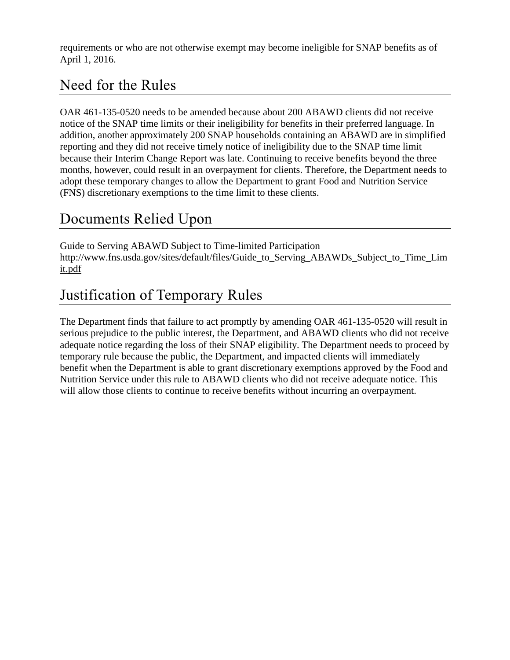requirements or who are not otherwise exempt may become ineligible for SNAP benefits as of April 1, 2016.

## Need for the Rules

OAR 461-135-0520 needs to be amended because about 200 ABAWD clients did not receive notice of the SNAP time limits or their ineligibility for benefits in their preferred language. In addition, another approximately 200 SNAP households containing an ABAWD are in simplified reporting and they did not receive timely notice of ineligibility due to the SNAP time limit because their Interim Change Report was late. Continuing to receive benefits beyond the three months, however, could result in an overpayment for clients. Therefore, the Department needs to adopt these temporary changes to allow the Department to grant Food and Nutrition Service (FNS) discretionary exemptions to the time limit to these clients.

## Documents Relied Upon

Guide to Serving ABAWD Subject to Time-limited Participation http://www.fns.usda.gov/sites/default/files/Guide to Serving ABAWDs Subject to Time Lim [it.pdf](http://www.fns.usda.gov/sites/default/files/Guide_to_Serving_ABAWDs_Subject_to_Time_Limit.pdf)

# Justification of Temporary Rules

The Department finds that failure to act promptly by amending OAR 461-135-0520 will result in serious prejudice to the public interest, the Department, and ABAWD clients who did not receive adequate notice regarding the loss of their SNAP eligibility. The Department needs to proceed by temporary rule because the public, the Department, and impacted clients will immediately benefit when the Department is able to grant discretionary exemptions approved by the Food and Nutrition Service under this rule to ABAWD clients who did not receive adequate notice. This will allow those clients to continue to receive benefits without incurring an overpayment.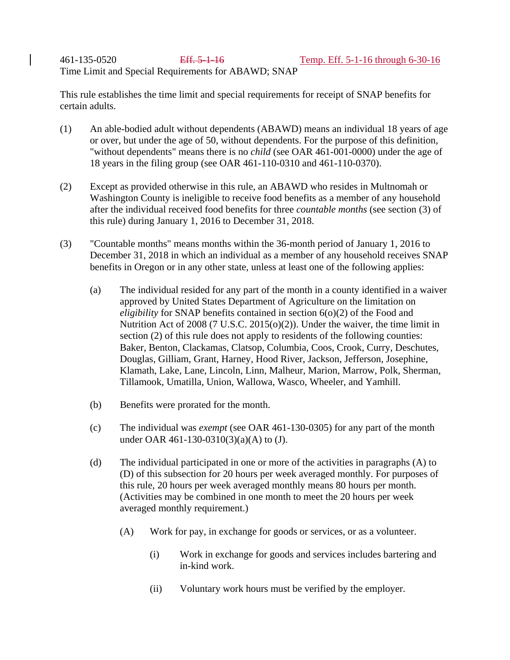461-135-0520 Eff. 5-1-16 Temp. Eff. 5-1-16 through 6-30-16 Time Limit and Special Requirements for ABAWD; SNAP

This rule establishes the time limit and special requirements for receipt of SNAP benefits for certain adults.

- (1) An able-bodied adult without dependents (ABAWD) means an individual 18 years of age or over, but under the age of 50, without dependents. For the purpose of this definition, "without dependents" means there is no *child* (see OAR 461-001-0000) under the age of 18 years in the filing group (see OAR 461-110-0310 and 461-110-0370).
- (2) Except as provided otherwise in this rule, an ABAWD who resides in Multnomah or Washington County is ineligible to receive food benefits as a member of any household after the individual received food benefits for three *countable months* (see section (3) of this rule) during January 1, 2016 to December 31, 2018.
- (3) "Countable months" means months within the 36-month period of January 1, 2016 to December 31, 2018 in which an individual as a member of any household receives SNAP benefits in Oregon or in any other state, unless at least one of the following applies:
	- (a) The individual resided for any part of the month in a county identified in a waiver approved by United States Department of Agriculture on the limitation on *eligibility* for SNAP benefits contained in section 6(0)(2) of the Food and Nutrition Act of 2008 (7 U.S.C. 2015(o)(2)). Under the waiver, the time limit in section (2) of this rule does not apply to residents of the following counties: Baker, Benton, Clackamas, Clatsop, Columbia, Coos, Crook, Curry, Deschutes, Douglas, Gilliam, Grant, Harney, Hood River, Jackson, Jefferson, Josephine, Klamath, Lake, Lane, Lincoln, Linn, Malheur, Marion, Marrow, Polk, Sherman, Tillamook, Umatilla, Union, Wallowa, Wasco, Wheeler, and Yamhill.
	- (b) Benefits were prorated for the month.
	- (c) The individual was *exempt* (see OAR 461-130-0305) for any part of the month under OAR 461-130-0310(3)(a)(A) to (J).
	- (d) The individual participated in one or more of the activities in paragraphs (A) to (D) of this subsection for 20 hours per week averaged monthly. For purposes of this rule, 20 hours per week averaged monthly means 80 hours per month. (Activities may be combined in one month to meet the 20 hours per week averaged monthly requirement.)
		- (A) Work for pay, in exchange for goods or services, or as a volunteer.
			- (i) Work in exchange for goods and services includes bartering and in-kind work.
			- (ii) Voluntary work hours must be verified by the employer.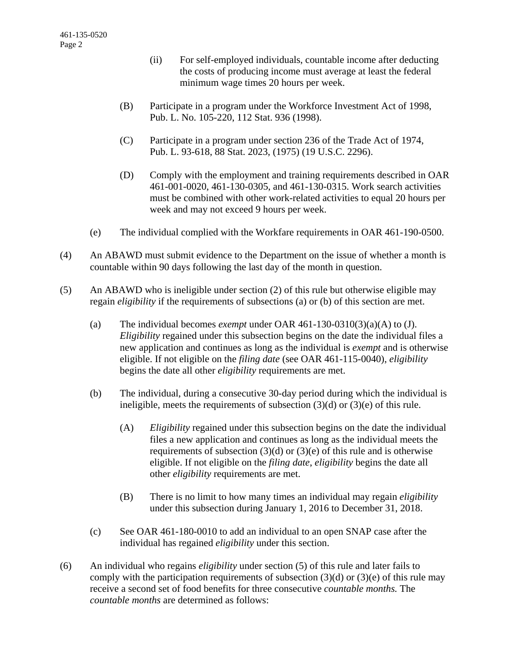- (ii) For self-employed individuals, countable income after deducting the costs of producing income must average at least the federal minimum wage times 20 hours per week.
- (B) Participate in a program under the Workforce Investment Act of 1998, Pub. L. No. 105-220, 112 Stat. 936 (1998).
- (C) Participate in a program under section 236 of the Trade Act of 1974, Pub. L. 93-618, 88 Stat. 2023, (1975) (19 U.S.C. 2296).
- (D) Comply with the employment and training requirements described in OAR 461-001-0020, 461-130-0305, and 461-130-0315. Work search activities must be combined with other work-related activities to equal 20 hours per week and may not exceed 9 hours per week.
- (e) The individual complied with the Workfare requirements in OAR 461-190-0500.
- (4) An ABAWD must submit evidence to the Department on the issue of whether a month is countable within 90 days following the last day of the month in question.
- (5) An ABAWD who is ineligible under section (2) of this rule but otherwise eligible may regain *eligibility* if the requirements of subsections (a) or (b) of this section are met.
	- (a) The individual becomes *exempt* under OAR 461-130-0310(3)(a)(A) to (J). *Eligibility* regained under this subsection begins on the date the individual files a new application and continues as long as the individual is *exempt* and is otherwise eligible. If not eligible on the *filing date* (see OAR 461-115-0040), *eligibility* begins the date all other *eligibility* requirements are met.
	- (b) The individual, during a consecutive 30-day period during which the individual is ineligible, meets the requirements of subsection (3)(d) or (3)(e) of this rule.
		- (A) *Eligibility* regained under this subsection begins on the date the individual files a new application and continues as long as the individual meets the requirements of subsection  $(3)(d)$  or  $(3)(e)$  of this rule and is otherwise eligible. If not eligible on the *filing date*, *eligibility* begins the date all other *eligibility* requirements are met.
		- (B) There is no limit to how many times an individual may regain *eligibility* under this subsection during January 1, 2016 to December 31, 2018.
	- (c) See OAR 461-180-0010 to add an individual to an open SNAP case after the individual has regained *eligibility* under this section.
- (6) An individual who regains *eligibility* under section (5) of this rule and later fails to comply with the participation requirements of subsection  $(3)(d)$  or  $(3)(e)$  of this rule may receive a second set of food benefits for three consecutive *countable months.* The *countable months* are determined as follows: